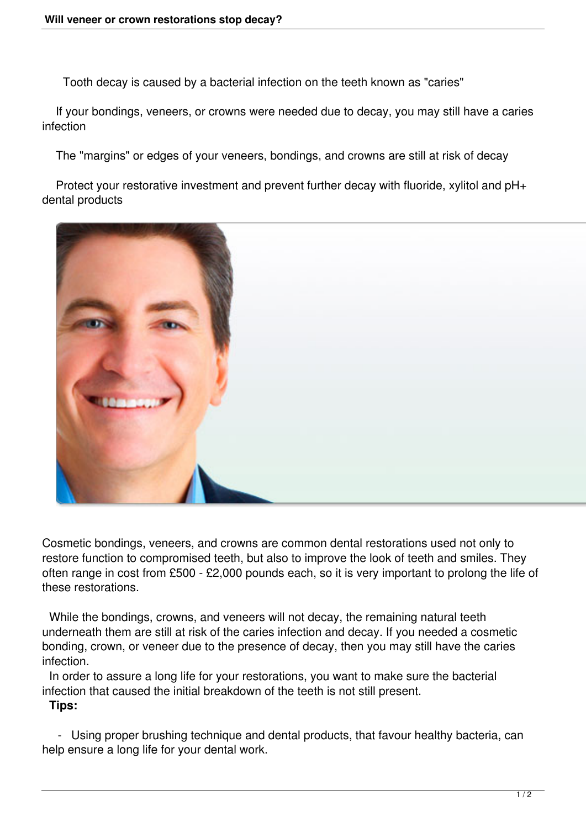Tooth decay is caused by a bacterial infection on the teeth known as "caries"

 If your bondings, veneers, or crowns were needed due to decay, you may still have a caries infection

The "margins" or edges of your veneers, bondings, and crowns are still at risk of decay

 Protect your restorative investment and prevent further decay with fluoride, xylitol and pH+ dental products



Cosmetic bondings, veneers, and crowns are common dental restorations used not only to restore function to compromised teeth, but also to improve the look of teeth and smiles. They often range in cost from £500 - £2,000 pounds each, so it is very important to prolong the life of these restorations.

 While the bondings, crowns, and veneers will not decay, the remaining natural teeth underneath them are still at risk of the caries infection and decay. If you needed a cosmetic bonding, crown, or veneer due to the presence of decay, then you may still have the caries infection.

 In order to assure a long life for your restorations, you want to make sure the bacterial infection that caused the initial breakdown of the teeth is not still present.

## **Tips:**

 - Using proper brushing technique and dental products, that favour healthy bacteria, can help ensure a long life for your dental work.